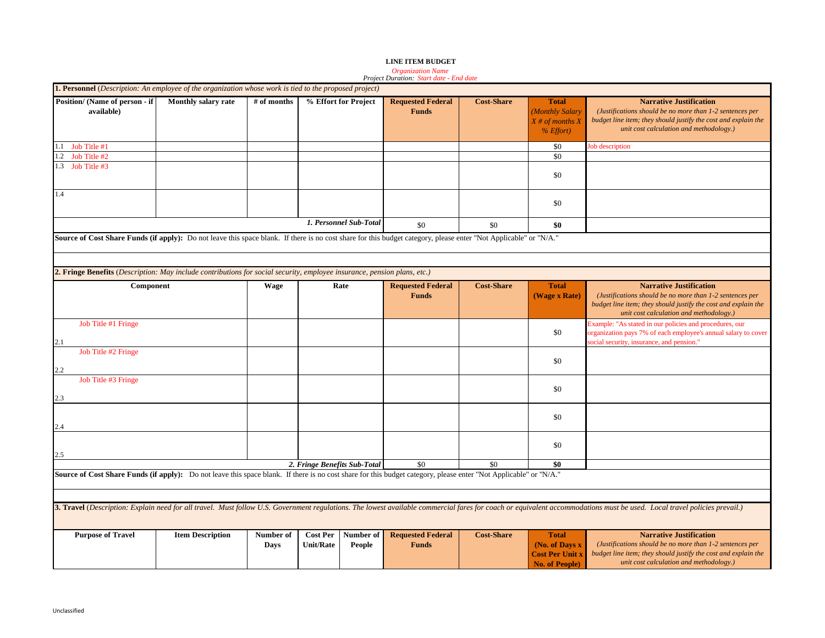|                                                                                                                                                                   |                         |             |                              |                        | Project Duration: Start date - End date  |                   |                                                                              |                                                                                                                                                                                                                          |
|-------------------------------------------------------------------------------------------------------------------------------------------------------------------|-------------------------|-------------|------------------------------|------------------------|------------------------------------------|-------------------|------------------------------------------------------------------------------|--------------------------------------------------------------------------------------------------------------------------------------------------------------------------------------------------------------------------|
| <b>1. Personnel</b> (Description: An employee of the organization whose work is tied to the proposed project)                                                     |                         |             |                              |                        |                                          |                   |                                                                              |                                                                                                                                                                                                                          |
| Position/ (Name of person - if<br>available)                                                                                                                      | Monthly salary rate     | # of months |                              | % Effort for Project   | <b>Requested Federal</b><br><b>Funds</b> | <b>Cost-Share</b> | <b>Total</b><br>(Monthly Salary<br>$X \#$ of months X<br>$%$ <i>Effort</i> ) | <b>Narrative Justification</b><br>(Justifications should be no more than 1-2 sentences per<br>budget line item; they should justify the cost and explain the<br>unit cost calculation and methodology.)                  |
| Job Title #1<br>1.1                                                                                                                                               |                         |             |                              |                        |                                          |                   | \$0                                                                          | ob description                                                                                                                                                                                                           |
| Job Title #2<br>1.2                                                                                                                                               |                         |             |                              |                        |                                          |                   | \$0                                                                          |                                                                                                                                                                                                                          |
| 1.3 Job Title #3                                                                                                                                                  |                         |             |                              |                        |                                          |                   | \$0                                                                          |                                                                                                                                                                                                                          |
| 1.4                                                                                                                                                               |                         |             |                              |                        |                                          |                   | \$0                                                                          |                                                                                                                                                                                                                          |
|                                                                                                                                                                   |                         |             |                              | 1. Personnel Sub-Total | \$0                                      | \$0               | \$0                                                                          |                                                                                                                                                                                                                          |
| Source of Cost Share Funds (if apply): Do not leave this space blank. If there is no cost share for this budget category, please enter "Not Applicable" or "N/A." |                         |             |                              |                        |                                          |                   |                                                                              |                                                                                                                                                                                                                          |
|                                                                                                                                                                   |                         |             |                              |                        |                                          |                   |                                                                              |                                                                                                                                                                                                                          |
|                                                                                                                                                                   |                         |             |                              |                        |                                          |                   |                                                                              |                                                                                                                                                                                                                          |
| 2. Fringe Benefits (Description: May include contributions for social security, employee insurance, pension plans, etc.)                                          |                         |             |                              |                        |                                          |                   |                                                                              |                                                                                                                                                                                                                          |
| Component                                                                                                                                                         |                         | Wage        |                              | Rate                   | <b>Requested Federal</b><br><b>Funds</b> | <b>Cost-Share</b> | <b>Total</b><br>(Wage x Rate)                                                | <b>Narrative Justification</b><br>(Justifications should be no more than 1-2 sentences per<br>budget line item; they should justify the cost and explain the<br>unit cost calculation and methodology.)                  |
| Job Title #1 Fringe<br>2.1                                                                                                                                        |                         |             |                              |                        |                                          |                   | \$0                                                                          | Example: "As stated in our policies and procedures, our<br>organization pays 7% of each employee's annual salary to cover<br>ocial security, insurance, and pension."                                                    |
| Job Title #2 Fringe<br>2.2                                                                                                                                        |                         |             |                              |                        |                                          |                   | \$0                                                                          |                                                                                                                                                                                                                          |
| Job Title #3 Fringe<br>2.3                                                                                                                                        |                         |             |                              |                        |                                          |                   | \$0                                                                          |                                                                                                                                                                                                                          |
|                                                                                                                                                                   |                         |             |                              |                        |                                          |                   | \$0                                                                          |                                                                                                                                                                                                                          |
|                                                                                                                                                                   |                         |             |                              |                        |                                          |                   | \$0                                                                          |                                                                                                                                                                                                                          |
|                                                                                                                                                                   |                         |             | 2. Fringe Benefits Sub-Total |                        | \$0                                      | \$0               | \$0                                                                          |                                                                                                                                                                                                                          |
| Source of Cost Share Funds (if apply): Do not leave this space blank. If there is no cost share for this budget category, please enter "Not Applicable" or "N/A." |                         |             |                              |                        |                                          |                   |                                                                              |                                                                                                                                                                                                                          |
|                                                                                                                                                                   |                         |             |                              |                        |                                          |                   |                                                                              |                                                                                                                                                                                                                          |
|                                                                                                                                                                   |                         |             |                              |                        |                                          |                   |                                                                              | 3. Travel (Description: Explain need for all travel. Must follow U.S. Government regulations. The lowest available commercial fares for coach or equivalent accommodations must be used. Local travel policies prevail.) |
| <b>Purpose of Travel</b>                                                                                                                                          | <b>Item Description</b> | Number of   | <b>Cost Per</b>              | Number of              | <b>Requested Federal</b>                 | <b>Cost-Share</b> | <b>Total</b>                                                                 | <b>Narrative Justification</b>                                                                                                                                                                                           |
|                                                                                                                                                                   |                         | Days        | <b>Unit/Rate</b>             | People                 | <b>Funds</b>                             |                   | (No. of Days x<br><b>Cost Per Unit x</b><br><b>No. of People)</b>            | (Justifications should be no more than 1-2 sentences per<br>budget line item; they should justify the cost and explain the<br>unit cost calculation and methodology.)                                                    |

# *Organization Name Project Duration: Start date - End date*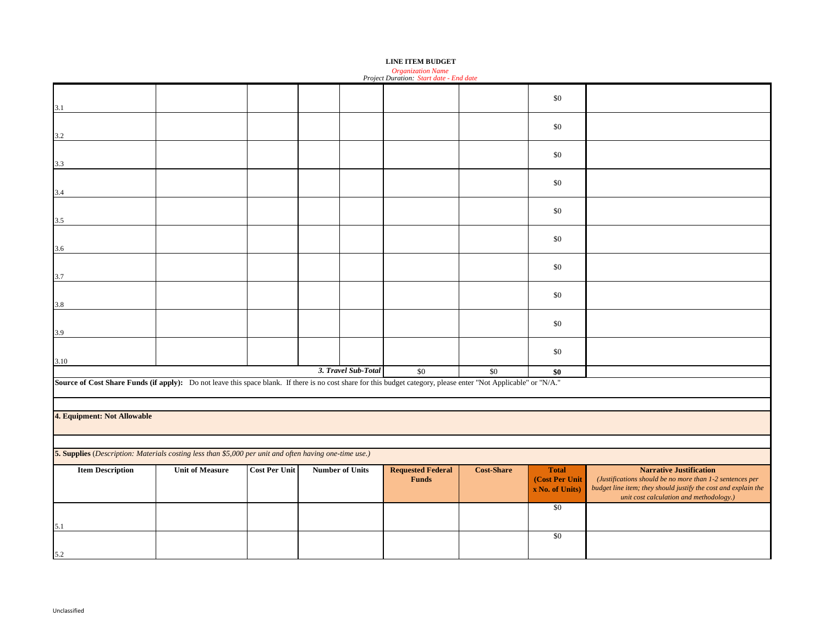| Project Duration: Start date - End date                                                                                                                           |                             |  |  |                     |       |     |       |  |  |
|-------------------------------------------------------------------------------------------------------------------------------------------------------------------|-----------------------------|--|--|---------------------|-------|-----|-------|--|--|
| 3.1                                                                                                                                                               |                             |  |  |                     |       |     | \$0   |  |  |
| 3.2                                                                                                                                                               |                             |  |  |                     |       |     | \$0   |  |  |
| 3.3                                                                                                                                                               |                             |  |  |                     |       |     | \$0   |  |  |
| 3.4                                                                                                                                                               |                             |  |  |                     |       |     | \$0   |  |  |
| 3.5                                                                                                                                                               |                             |  |  |                     |       |     | $\$0$ |  |  |
| 3.6                                                                                                                                                               |                             |  |  |                     |       |     | \$0   |  |  |
| 3.7                                                                                                                                                               |                             |  |  |                     |       |     | \$0   |  |  |
| 3.8                                                                                                                                                               |                             |  |  |                     |       |     | \$0   |  |  |
| 3.9                                                                                                                                                               |                             |  |  |                     |       |     | \$0   |  |  |
| 3.10                                                                                                                                                              |                             |  |  |                     |       |     | \$0   |  |  |
|                                                                                                                                                                   |                             |  |  | 3. Travel Sub-Total | $\$0$ | \$0 | \$0   |  |  |
| Source of Cost Share Funds (if apply): Do not leave this space blank. If there is no cost share for this budget category, please enter "Not Applicable" or "N/A." |                             |  |  |                     |       |     |       |  |  |
|                                                                                                                                                                   |                             |  |  |                     |       |     |       |  |  |
|                                                                                                                                                                   | 4. Equipment: Not Allowable |  |  |                     |       |     |       |  |  |

*Organization Name Project Duration: Start date - End date*

**5. Supplies** (*Description: Materials costing less than \$5,000 per unit and often having one-time use.)*

| <b>Item Description</b> | <b>Unit of Measure</b> | <b>Cost Per Unit</b> | <b>Number of Units</b> | <b>Requested Federal</b> | <b>Cost-Share</b> | <b>Total</b>         | Narrative Justification                                        |
|-------------------------|------------------------|----------------------|------------------------|--------------------------|-------------------|----------------------|----------------------------------------------------------------|
|                         |                        |                      |                        | <b>Funds</b>             |                   | <b>Cost Per Unit</b> | (Justifications should be no more than 1-2 sentences per       |
|                         |                        |                      |                        |                          |                   | x No. of Units)      | budget line item; they should justify the cost and explain the |
|                         |                        |                      |                        |                          |                   |                      | unit cost calculation and methodology.)                        |
|                         |                        |                      |                        |                          |                   | \$0                  |                                                                |
|                         |                        |                      |                        |                          |                   |                      |                                                                |
|                         |                        |                      |                        |                          |                   |                      |                                                                |
|                         |                        |                      |                        |                          |                   | \$0                  |                                                                |
|                         |                        |                      |                        |                          |                   |                      |                                                                |
| 5.2                     |                        |                      |                        |                          |                   |                      |                                                                |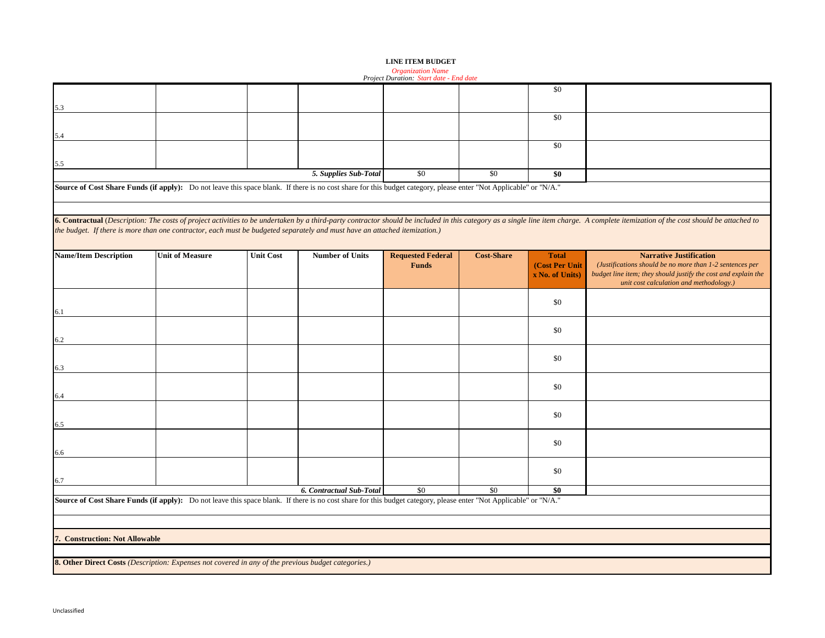|  | <b>LINE ITEM BUDGET</b> |  |
|--|-------------------------|--|
|  |                         |  |

*Organization Name Project Duration: Start date - End date*

|                                                                                                                                                                   |                                                                                                     |                  |                          |                                          |                   | \$0                                               |                                                                                                                                                                                                                                |  |  |
|-------------------------------------------------------------------------------------------------------------------------------------------------------------------|-----------------------------------------------------------------------------------------------------|------------------|--------------------------|------------------------------------------|-------------------|---------------------------------------------------|--------------------------------------------------------------------------------------------------------------------------------------------------------------------------------------------------------------------------------|--|--|
| 5.3                                                                                                                                                               |                                                                                                     |                  |                          |                                          |                   |                                                   |                                                                                                                                                                                                                                |  |  |
|                                                                                                                                                                   |                                                                                                     |                  |                          |                                          |                   | \$0                                               |                                                                                                                                                                                                                                |  |  |
| 5.4                                                                                                                                                               |                                                                                                     |                  |                          |                                          |                   |                                                   |                                                                                                                                                                                                                                |  |  |
|                                                                                                                                                                   |                                                                                                     |                  |                          |                                          |                   | \$0                                               |                                                                                                                                                                                                                                |  |  |
| 5.5                                                                                                                                                               |                                                                                                     |                  |                          |                                          |                   |                                                   |                                                                                                                                                                                                                                |  |  |
|                                                                                                                                                                   |                                                                                                     |                  | 5. Supplies Sub-Total    | \$0                                      | \$0               | \$0                                               |                                                                                                                                                                                                                                |  |  |
| Source of Cost Share Funds (if apply): Do not leave this space blank. If there is no cost share for this budget category, please enter "Not Applicable" or "N/A." |                                                                                                     |                  |                          |                                          |                   |                                                   |                                                                                                                                                                                                                                |  |  |
|                                                                                                                                                                   |                                                                                                     |                  |                          |                                          |                   |                                                   |                                                                                                                                                                                                                                |  |  |
| the budget. If there is more than one contractor, each must be budgeted separately and must have an attached itemization.)                                        |                                                                                                     |                  |                          |                                          |                   |                                                   | 6. Contractual (Description: The costs of project activities to be undertaken by a third-party contractor should be included in this category as a single line item charge. A complete itemization of the cost should be attac |  |  |
|                                                                                                                                                                   |                                                                                                     |                  |                          |                                          |                   |                                                   |                                                                                                                                                                                                                                |  |  |
| <b>Name/Item Description</b>                                                                                                                                      | <b>Unit of Measure</b>                                                                              | <b>Unit Cost</b> | <b>Number of Units</b>   | <b>Requested Federal</b><br><b>Funds</b> | <b>Cost-Share</b> | <b>Total</b><br>(Cost Per Unit<br>x No. of Units) | <b>Narrative Justification</b><br>(Justifications should be no more than 1-2 sentences per<br>budget line item; they should justify the cost and explain the<br>unit cost calculation and methodology.)                        |  |  |
|                                                                                                                                                                   |                                                                                                     |                  |                          |                                          |                   | \$0                                               |                                                                                                                                                                                                                                |  |  |
| 6.1                                                                                                                                                               |                                                                                                     |                  |                          |                                          |                   |                                                   |                                                                                                                                                                                                                                |  |  |
|                                                                                                                                                                   |                                                                                                     |                  |                          |                                          |                   | \$0                                               |                                                                                                                                                                                                                                |  |  |
| 6.2                                                                                                                                                               |                                                                                                     |                  |                          |                                          |                   |                                                   |                                                                                                                                                                                                                                |  |  |
| 6.3                                                                                                                                                               |                                                                                                     |                  |                          |                                          |                   | \$0                                               |                                                                                                                                                                                                                                |  |  |
|                                                                                                                                                                   |                                                                                                     |                  |                          |                                          |                   |                                                   |                                                                                                                                                                                                                                |  |  |
| 6.4                                                                                                                                                               |                                                                                                     |                  |                          |                                          |                   | \$0                                               |                                                                                                                                                                                                                                |  |  |
|                                                                                                                                                                   |                                                                                                     |                  |                          |                                          |                   |                                                   |                                                                                                                                                                                                                                |  |  |
| 6.5                                                                                                                                                               |                                                                                                     |                  |                          |                                          |                   | \$0                                               |                                                                                                                                                                                                                                |  |  |
|                                                                                                                                                                   |                                                                                                     |                  |                          |                                          |                   | \$0                                               |                                                                                                                                                                                                                                |  |  |
| 6.6                                                                                                                                                               |                                                                                                     |                  |                          |                                          |                   |                                                   |                                                                                                                                                                                                                                |  |  |
|                                                                                                                                                                   |                                                                                                     |                  |                          |                                          |                   | \$0                                               |                                                                                                                                                                                                                                |  |  |
| 6.7                                                                                                                                                               |                                                                                                     |                  |                          |                                          |                   |                                                   |                                                                                                                                                                                                                                |  |  |
| Source of Cost Share Funds (if apply): Do not leave this space blank. If there is no cost share for this budget category, please enter "Not Applicable" or "N/A." |                                                                                                     |                  | 6. Contractual Sub-Total | \$0                                      | \$0               | \$0                                               |                                                                                                                                                                                                                                |  |  |
|                                                                                                                                                                   |                                                                                                     |                  |                          |                                          |                   |                                                   |                                                                                                                                                                                                                                |  |  |
|                                                                                                                                                                   |                                                                                                     |                  |                          |                                          |                   |                                                   |                                                                                                                                                                                                                                |  |  |
| 7. Construction: Not Allowable                                                                                                                                    |                                                                                                     |                  |                          |                                          |                   |                                                   |                                                                                                                                                                                                                                |  |  |
|                                                                                                                                                                   |                                                                                                     |                  |                          |                                          |                   |                                                   |                                                                                                                                                                                                                                |  |  |
|                                                                                                                                                                   | 8. Other Direct Costs (Description: Expenses not covered in any of the previous budget categories.) |                  |                          |                                          |                   |                                                   |                                                                                                                                                                                                                                |  |  |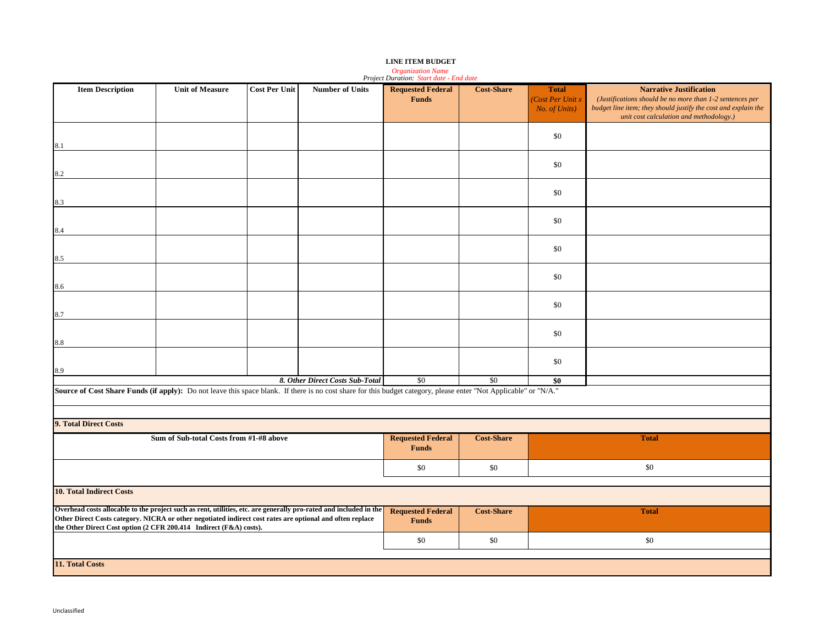## *Organization Name Project Duration: Start date - End date*

| <b>Item Description</b>                                                                                                                                                         | <b>Unit of Measure</b>                  | <b>Cost Per Unit</b> | <b>Number of Units</b>          | <b>Requested Federal</b>                 | <b>Cost-Share</b> | <b>Total</b>     | <b>Narrative Justification</b>                                                                            |  |  |
|---------------------------------------------------------------------------------------------------------------------------------------------------------------------------------|-----------------------------------------|----------------------|---------------------------------|------------------------------------------|-------------------|------------------|-----------------------------------------------------------------------------------------------------------|--|--|
|                                                                                                                                                                                 |                                         |                      |                                 | <b>Funds</b>                             |                   | (Cost Per Unit x | (Justifications should be no more than 1-2 sentences per                                                  |  |  |
|                                                                                                                                                                                 |                                         |                      |                                 |                                          |                   | No. of Units)    | budget line item; they should justify the cost and explain the<br>unit cost calculation and methodology.) |  |  |
|                                                                                                                                                                                 |                                         |                      |                                 |                                          |                   |                  |                                                                                                           |  |  |
|                                                                                                                                                                                 |                                         |                      |                                 |                                          |                   | \$0              |                                                                                                           |  |  |
| 8.1                                                                                                                                                                             |                                         |                      |                                 |                                          |                   |                  |                                                                                                           |  |  |
|                                                                                                                                                                                 |                                         |                      |                                 |                                          |                   | \$0              |                                                                                                           |  |  |
| 8.2                                                                                                                                                                             |                                         |                      |                                 |                                          |                   |                  |                                                                                                           |  |  |
|                                                                                                                                                                                 |                                         |                      |                                 |                                          |                   |                  |                                                                                                           |  |  |
| 8.3                                                                                                                                                                             |                                         |                      |                                 |                                          |                   | \$0              |                                                                                                           |  |  |
|                                                                                                                                                                                 |                                         |                      |                                 |                                          |                   |                  |                                                                                                           |  |  |
|                                                                                                                                                                                 |                                         |                      |                                 |                                          |                   | \$0              |                                                                                                           |  |  |
| 8.4                                                                                                                                                                             |                                         |                      |                                 |                                          |                   |                  |                                                                                                           |  |  |
|                                                                                                                                                                                 |                                         |                      |                                 |                                          |                   | \$0              |                                                                                                           |  |  |
| 8.5                                                                                                                                                                             |                                         |                      |                                 |                                          |                   |                  |                                                                                                           |  |  |
|                                                                                                                                                                                 |                                         |                      |                                 |                                          |                   |                  |                                                                                                           |  |  |
| 8.6                                                                                                                                                                             |                                         |                      |                                 |                                          |                   | \$0              |                                                                                                           |  |  |
|                                                                                                                                                                                 |                                         |                      |                                 |                                          |                   |                  |                                                                                                           |  |  |
|                                                                                                                                                                                 |                                         |                      |                                 |                                          |                   | \$0              |                                                                                                           |  |  |
| 8.7                                                                                                                                                                             |                                         |                      |                                 |                                          |                   |                  |                                                                                                           |  |  |
|                                                                                                                                                                                 |                                         |                      |                                 |                                          |                   | \$0              |                                                                                                           |  |  |
| 8.8                                                                                                                                                                             |                                         |                      |                                 |                                          |                   |                  |                                                                                                           |  |  |
|                                                                                                                                                                                 |                                         |                      |                                 |                                          |                   |                  |                                                                                                           |  |  |
| 8.9                                                                                                                                                                             |                                         |                      |                                 |                                          |                   | \$0              |                                                                                                           |  |  |
|                                                                                                                                                                                 |                                         |                      | 8. Other Direct Costs Sub-Total | \$0                                      | \$0               | \$0              |                                                                                                           |  |  |
| Source of Cost Share Funds (if apply): Do not leave this space blank. If there is no cost share for this budget category, please enter "Not Applicable" or "N/A."               |                                         |                      |                                 |                                          |                   |                  |                                                                                                           |  |  |
|                                                                                                                                                                                 |                                         |                      |                                 |                                          |                   |                  |                                                                                                           |  |  |
|                                                                                                                                                                                 |                                         |                      |                                 |                                          |                   |                  |                                                                                                           |  |  |
| 9. Total Direct Costs                                                                                                                                                           |                                         |                      |                                 |                                          |                   |                  |                                                                                                           |  |  |
|                                                                                                                                                                                 | Sum of Sub-total Costs from #1-#8 above |                      |                                 | <b>Requested Federal</b><br><b>Funds</b> | <b>Cost-Share</b> |                  | <b>Total</b>                                                                                              |  |  |
|                                                                                                                                                                                 |                                         |                      |                                 |                                          |                   |                  |                                                                                                           |  |  |
|                                                                                                                                                                                 |                                         |                      |                                 | \$0                                      | \$0               |                  | \$0                                                                                                       |  |  |
|                                                                                                                                                                                 |                                         |                      |                                 |                                          |                   |                  |                                                                                                           |  |  |
| <b>10. Total Indirect Costs</b>                                                                                                                                                 |                                         |                      |                                 |                                          |                   |                  |                                                                                                           |  |  |
| Overhead costs allocable to the project such as rent, utilities, etc. are generally pro-rated and included in the                                                               |                                         |                      |                                 | <b>Requested Federal</b>                 | <b>Cost-Share</b> |                  | <b>Total</b>                                                                                              |  |  |
| Other Direct Costs category. NICRA or other negotiated indirect cost rates are optional and often replace<br>the Other Direct Cost option (2 CFR 200.414 Indirect (F&A) costs). |                                         |                      |                                 | <b>Funds</b>                             |                   |                  |                                                                                                           |  |  |
|                                                                                                                                                                                 |                                         |                      |                                 |                                          |                   |                  |                                                                                                           |  |  |
|                                                                                                                                                                                 |                                         |                      |                                 | \$0                                      | \$0               |                  | \$0                                                                                                       |  |  |
| 11. Total Costs                                                                                                                                                                 |                                         |                      |                                 |                                          |                   |                  |                                                                                                           |  |  |
|                                                                                                                                                                                 |                                         |                      |                                 |                                          |                   |                  |                                                                                                           |  |  |